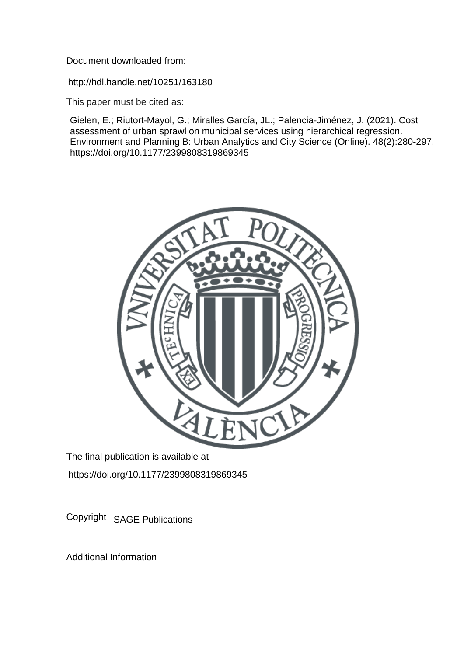Document downloaded from:

http://hdl.handle.net/10251/163180

This paper must be cited as:

Gielen, E.; Riutort-Mayol, G.; Miralles García, JL.; Palencia-Jiménez, J. (2021). Cost assessment of urban sprawl on municipal services using hierarchical regression. Environment and Planning B: Urban Analytics and City Science (Online). 48(2):280-297. https://doi.org/10.1177/2399808319869345



The final publication is available at https://doi.org/10.1177/2399808319869345

Copyright SAGE Publications

Additional Information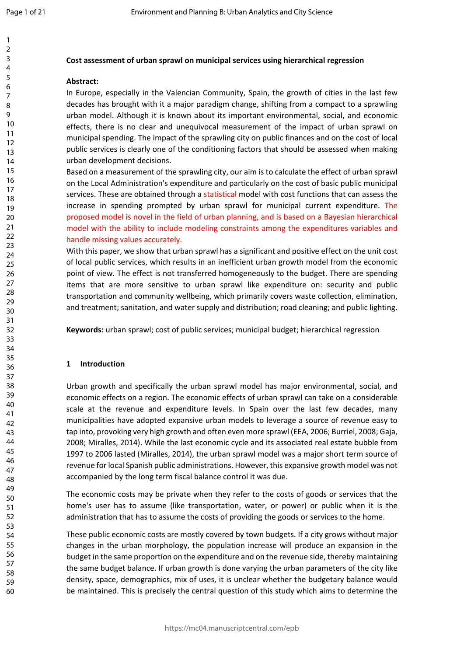### **Cost assessment of urban sprawl on municipal services using hierarchical regression**

### **Abstract:**

In Europe, especially in the Valencian Community, Spain, the growth of cities in the last few decades has brought with it a major paradigm change, shifting from a compact to a sprawling urban model. Although it is known about its important environmental, social, and economic effects, there is no clear and unequivocal measurement of the impact of urban sprawl on municipal spending. The impact of the sprawling city on public finances and on the cost of local public services is clearly one of the conditioning factors that should be assessed when making urban development decisions.

Based on a measurement of the sprawling city, our aim is to calculate the effect of urban sprawl on the Local Administration's expenditure and particularly on the cost of basic public municipal services. These are obtained through a statistical model with cost functions that can assess the increase in spending prompted by urban sprawl for municipal current expenditure. The proposed model is novel in the field of urban planning, and is based on a Bayesian hierarchical model with the ability to include modeling constraints among the expenditures variables and handle missing values accurately.

With this paper, we show that urban sprawl has a significant and positive effect on the unit cost of local public services, which results in an inefficient urban growth model from the economic point of view. The effect is not transferred homogeneously to the budget. There are spending items that are more sensitive to urban sprawl like expenditure on: security and public transportation and community wellbeing, which primarily covers waste collection, elimination, and treatment; sanitation, and water supply and distribution; road cleaning; and public lighting.

**Keywords:** urban sprawl; cost of public services; municipal budget; hierarchical regression

### **1 Introduction**

Urban growth and specifically the urban sprawl model has major environmental, social, and economic effects on a region. The economic effects of urban sprawl can take on a considerable scale at the revenue and expenditure levels. In Spain over the last few decades, many municipalities have adopted expansive urban models to leverage a source of revenue easy to tap into, provoking very high growth and often even more sprawl (EEA, 2006; Burriel, 2008; Gaja, 2008; Miralles, 2014). While the last economic cycle and its associated real estate bubble from 1997 to 2006 lasted (Miralles, 2014), the urban sprawl model was a major short term source of revenue for local Spanish public administrations. However, this expansive growth model was not accompanied by the long term fiscal balance control it was due.

The economic costs may be private when they refer to the costs of goods or services that the home's user has to assume (like transportation, water, or power) or public when it is the administration that has to assume the costs of providing the goods or services to the home.

These public economic costs are mostly covered by town budgets. If a city grows without major changes in the urban morphology, the population increase will produce an expansion in the budget in the same proportion on the expenditure and on the revenue side, thereby maintaining the same budget balance. If urban growth is done varying the urban parameters of the city like density, space, demographics, mix of uses, it is unclear whether the budgetary balance would be maintained. This is precisely the central question of this study which aims to determine the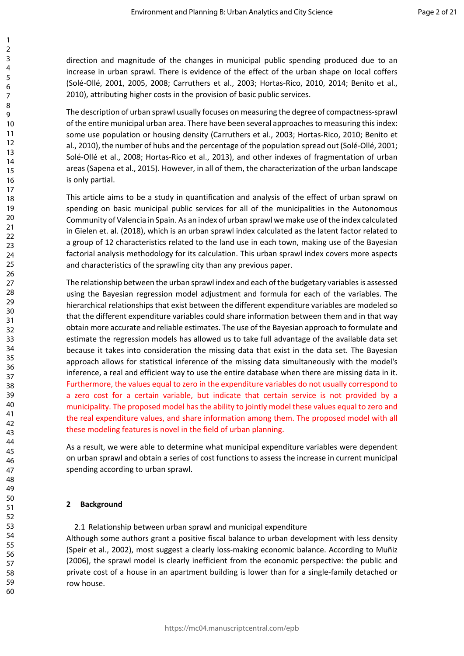direction and magnitude of the changes in municipal public spending produced due to an increase in urban sprawl. There is evidence of the effect of the urban shape on local coffers (Solé-Ollé, 2001, 2005, 2008; Carruthers et al., 2003; Hortas-Rico, 2010, 2014; Benito et al., 2010), attributing higher costs in the provision of basic public services.

The description of urban sprawl usually focuses on measuring the degree of compactness-sprawl of the entire municipal urban area. There have been several approaches to measuring this index: some use population or housing density (Carruthers et al., 2003; Hortas-Rico, 2010; Benito et al., 2010), the number of hubs and the percentage of the population spread out (Solé-Ollé, 2001; Solé-Ollé et al., 2008; Hortas-Rico et al., 2013), and other indexes of fragmentation of urban areas (Sapena et al., 2015). However, in all of them, the characterization of the urban landscape is only partial.

This article aims to be a study in quantification and analysis of the effect of urban sprawl on spending on basic municipal public services for all of the municipalities in the Autonomous Community of Valencia in Spain. As an index of urban sprawl we make use of the index calculated in Gielen et. al. (2018), which is an urban sprawl index calculated as the latent factor related to a group of 12 characteristics related to the land use in each town, making use of the Bayesian factorial analysis methodology for its calculation. This urban sprawl index covers more aspects and characteristics of the sprawling city than any previous paper.

The relationship between the urban sprawl index and each of the budgetary variables is assessed using the Bayesian regression model adjustment and formula for each of the variables. The hierarchical relationships that exist between the different expenditure variables are modeled so that the different expenditure variables could share information between them and in that way obtain more accurate and reliable estimates. The use of the Bayesian approach to formulate and estimate the regression models has allowed us to take full advantage of the available data set because it takes into consideration the missing data that exist in the data set. The Bayesian approach allows for statistical inference of the missing data simultaneously with the model's inference, a real and efficient way to use the entire database when there are missing data in it. Furthermore, the values equal to zero in the expenditure variables do not usually correspond to a zero cost for a certain variable, but indicate that certain service is not provided by a municipality. The proposed model has the ability to jointly model these values equal to zero and the real expenditure values, and share information among them. The proposed model with all these modeling features is novel in the field of urban planning.

As a result, we were able to determine what municipal expenditure variables were dependent on urban sprawl and obtain a series of cost functions to assess the increase in current municipal spending according to urban sprawl.

# **2 Background**

2.1 Relationship between urban sprawl and municipal expenditure

Although some authors grant a positive fiscal balance to urban development with less density (Speir et al., 2002), most suggest a clearly loss-making economic balance. According to Muñiz (2006), the sprawl model is clearly inefficient from the economic perspective: the public and private cost of a house in an apartment building is lower than for a single-family detached or row house.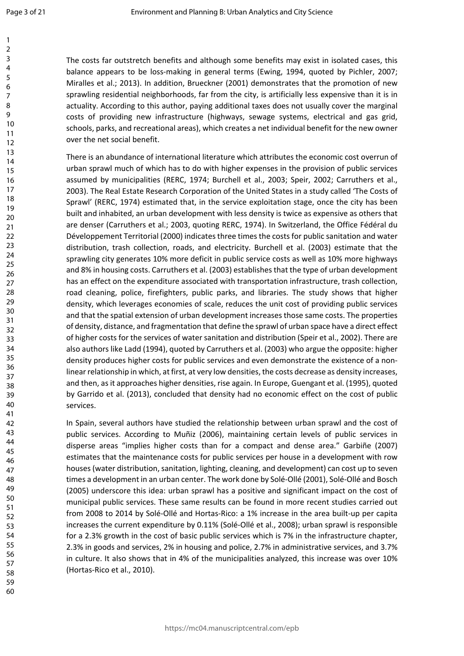59 60 The costs far outstretch benefits and although some benefits may exist in isolated cases, this balance appears to be loss-making in general terms (Ewing, 1994, quoted by Pichler, 2007; Miralles et al.; 2013). In addition, Brueckner (2001) demonstrates that the promotion of new sprawling residential neighborhoods, far from the city, is artificially less expensive than it is in actuality. According to this author, paying additional taxes does not usually cover the marginal costs of providing new infrastructure (highways, sewage systems, electrical and gas grid, schools, parks, and recreational areas), which creates a net individual benefit for the new owner over the net social benefit.

There is an abundance of international literature which attributes the economic cost overrun of urban sprawl much of which has to do with higher expenses in the provision of public services assumed by municipalities (RERC, 1974; Burchell et al., 2003; Speir, 2002; Carruthers et al., 2003). The Real Estate Research Corporation of the United States in a study called 'The Costs of Sprawl' (RERC, 1974) estimated that, in the service exploitation stage, once the city has been built and inhabited, an urban development with less density is twice as expensive as others that are denser (Carruthers et al.; 2003, quoting RERC, 1974). In Switzerland, the Office Fédéral du Développement Territorial (2000) indicates three times the costs for public sanitation and water distribution, trash collection, roads, and electricity. Burchell et al. (2003) estimate that the sprawling city generates 10% more deficit in public service costs as well as 10% more highways and 8% in housing costs. Carruthers et al. (2003) establishes that the type of urban development has an effect on the expenditure associated with transportation infrastructure, trash collection, road cleaning, police, firefighters, public parks, and libraries. The study shows that higher density, which leverages economies of scale, reduces the unit cost of providing public services and that the spatial extension of urban development increases those same costs. The properties of density, distance, and fragmentation that define the sprawl of urban space have a direct effect of higher costs for the services of water sanitation and distribution (Speir et al., 2002). There are also authors like Ladd (1994), quoted by Carruthers et al. (2003) who argue the opposite: higher density produces higher costs for public services and even demonstrate the existence of a nonlinear relationship in which, at first, at very low densities, the costs decrease as density increases, and then, as it approaches higher densities, rise again. In Europe, Guengant et al. (1995), quoted by Garrido et al. (2013), concluded that density had no economic effect on the cost of public services.

In Spain, several authors have studied the relationship between urban sprawl and the cost of public services. According to Muñiz (2006), maintaining certain levels of public services in disperse areas "implies higher costs than for a compact and dense area." Garbiñe (2007) estimates that the maintenance costs for public services per house in a development with row houses (water distribution, sanitation, lighting, cleaning, and development) can cost up to seven times a development in an urban center. The work done by Solé-Ollé (2001), Solé-Ollé and Bosch (2005) underscore this idea: urban sprawl has a positive and significant impact on the cost of municipal public services. These same results can be found in more recent studies carried out from 2008 to 2014 by Solé-Ollé and Hortas-Rico: a 1% increase in the area built-up per capita increases the current expenditure by 0.11% (Solé-Ollé et al., 2008); urban sprawl is responsible for a 2.3% growth in the cost of basic public services which is 7% in the infrastructure chapter, 2.3% in goods and services, 2% in housing and police, 2.7% in administrative services, and 3.7% in culture. It also shows that in 4% of the municipalities analyzed, this increase was over 10% (Hortas-Rico et al., 2010).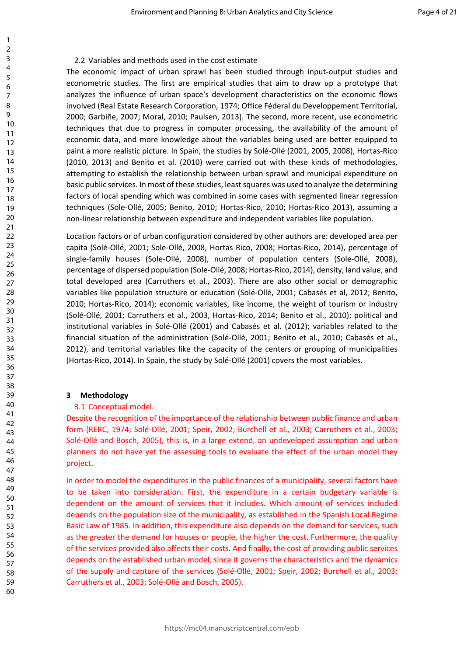### 2.2 Variables and methods used in the cost estimate

The economic impact of urban sprawl has been studied through input-output studies and econometric studies. The first are empirical studies that aim to draw up a prototype that analyzes the influence of urban space's development characteristics on the economic flows involved (Real Estate Research Corporation, 1974; Office Féderal du Developpement Territorial, 2000; Garbiñe, 2007; Moral, 2010; Paulsen, 2013). The second, more recent, use econometric techniques that due to progress in computer processing, the availability of the amount of economic data, and more knowledge about the variables being used are better equipped to paint a more realistic picture. In Spain, the studies by Solé-Ollé (2001, 2005, 2008), Hortas-Rico (2010, 2013) and Benito et al. (2010) were carried out with these kinds of methodologies, attempting to establish the relationship between urban sprawl and municipal expenditure on basic public services. In most of these studies, least squares was used to analyze the determining factors of local spending which was combined in some cases with segmented linear regression techniques (Sole-Ollé, 2005; Benito, 2010; Hortas-Rico, 2010; Hortas-Rico 2013), assuming a non-linear relationship between expenditure and independent variables like population.

Location factors or of urban configuration considered by other authors are: developed area per capita (Solé-Ollé, 2001; Sole-Ollé, 2008, Hortas Rico, 2008; Hortas-Rico, 2014), percentage of single-family houses (Sole-Ollé, 2008), number of population centers (Sole-Ollé, 2008), percentage of dispersed population (Sole-Ollé, 2008; Hortas-Rico, 2014), density, land value, and total developed area (Carruthers et al., 2003). There are also other social or demographic variables like population structure or education (Solé-Ollé, 2001; Cabasés et al, 2012; Benito, 2010; Hortas-Rico, 2014); economic variables, like income, the weight of tourism or industry (Solé-Ollé, 2001; Carruthers et al., 2003, Hortas-Rico, 2014; Benito et al., 2010); political and institutional variables in Solé-Ollé (2001) and Cabasés et al. (2012); variables related to the financial situation of the administration (Solé-Ollé, 2001; Benito et al., 2010; Cabasés et al., 2012), and territorial variables like the capacity of the centers or grouping of municipalities (Hortas-Rico, 2014). In Spain, the study by Solé-Ollé (2001) covers the most variables.

### **3 Methodology**

#### 3.1 Conceptual model.

Despite the recognition of the importance of the relationship between public finance and urban form (RERC, 1974; Solé-Ollé, 2001; Speir, 2002; Burchell et al., 2003; Carruthers et al., 2003; Solé-Ollé and Bosch, 2005), this is, in a large extend, an undeveloped assumption and urban planners do not have yet the assessing tools to evaluate the effect of the urban model they project.

In order to model the expenditures in the public finances of a municipality, several factors have to be taken into consideration. First, the expenditure in a certain budgetary variable is dependent on the amount of services that it includes. Which amount of services included depends on the population size of the municipality, as established in the Spanish Local Regime Basic Law of 1985. In addition, this expenditure also depends on the demand for services, such as the greater the demand for houses or people, the higher the cost. Furthermore, the quality of the services provided also affects their costs. And finally, the cost of providing public services depends on the established urban model, since it governs the characteristics and the dynamics of the supply and capture of the services (Solé-Ollé, 2001; Speir, 2002; Burchell et al., 2003; Carruthers et al., 2003; Solé-Ollé and Bosch, 2005).

60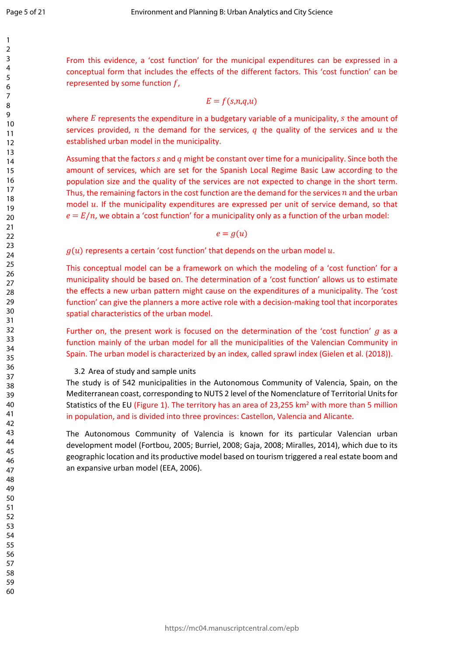From this evidence, a 'cost function' for the municipal expenditures can be expressed in a conceptual form that includes the effects of the different factors. This 'cost function' can be represented by some function  $f$ .

$$
E = f(s,n,q,u)
$$

where  $E$  represents the expenditure in a budgetary variable of a municipality,  $s$  the amount of services provided, n the demand for the services,  $q$  the quality of the services and  $u$  the established urban model in the municipality.

Assuming that the factors s and  $q$  might be constant over time for a municipality. Since both the amount of services, which are set for the Spanish Local Regime Basic Law according to the population size and the quality of the services are not expected to change in the short term. Thus, the remaining factors in the cost function are the demand for the services  $n$  and the urban model  $u$ . If the municipality expenditures are expressed per unit of service demand, so that  $e = E/n$ , we obtain a 'cost function' for a municipality only as a function of the urban model:

 $e = g(u)$ 

 $g(u)$  represents a certain 'cost function' that depends on the urban model  $u$ .

This conceptual model can be a framework on which the modeling of a 'cost function' for a municipality should be based on. The determination of a 'cost function' allows us to estimate the effects a new urban pattern might cause on the expenditures of a municipality. The 'cost function' can give the planners a more active role with a decision-making tool that incorporates spatial characteristics of the urban model.

Further on, the present work is focused on the determination of the 'cost function'  $g$  as a function mainly of the urban model for all the municipalities of the Valencian Community in Spain. The urban model is characterized by an index, called sprawl index (Gielen et al. (2018)).

### 3.2 Area of study and sample units

The study is of 542 municipalities in the Autonomous Community of Valencia, Spain, on the Mediterranean coast, corresponding to NUTS 2 level of the Nomenclature of Territorial Units for Statistics of the EU (Figure 1). The territory has an area of 23,255 km<sup>2</sup> with more than 5 million in population, and is divided into three provinces: Castellon, Valencia and Alicante.

The Autonomous Community of Valencia is known for its particular Valencian urban development model (Fortbou, 2005; Burriel, 2008; Gaja, 2008; Miralles, 2014), which due to its geographic location and its productive model based on tourism triggered a real estate boom and an expansive urban model (EEA, 2006).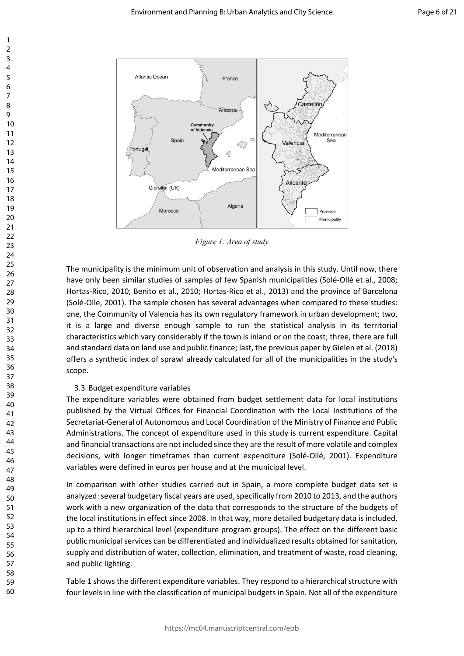

*Figure 1: Area of study* 

The municipality is the minimum unit of observation and analysis in this study. Until now, there have only been similar studies of samples of few Spanish municipalities (Solé-Ollé et al., 2008; Hortas-Rico, 2010; Benito et al., 2010; Hortas-Rico et al., 2013) and the province of Barcelona (Solé-Olle, 2001). The sample chosen has several advantages when compared to these studies: one, the Community of Valencia has its own regulatory framework in urban development; two, it is a large and diverse enough sample to run the statistical analysis in its territorial characteristics which vary considerably if the town is inland or on the coast; three, there are full and standard data on land use and public finance; last, the previous paper by Gielen et al. (2018) offers a synthetic index of sprawl already calculated for all of the municipalities in the study's scope.

### 3.3 Budget expenditure variables

The expenditure variables were obtained from budget settlement data for local institutions published by the Virtual Offices for Financial Coordination with the Local Institutions of the Secretariat-General of Autonomous and Local Coordination of the Ministry of Finance and Public Administrations. The concept of expenditure used in this study is current expenditure. Capital and financial transactions are not included since they are the result of more volatile and complex decisions, with longer timeframes than current expenditure (Solé-Ollé, 2001). Expenditure variables were defined in euros per house and at the municipal level.

In comparison with other studies carried out in Spain, a more complete budget data set is analyzed: several budgetary fiscal years are used, specifically from 2010 to 2013, and the authors work with a new organization of the data that corresponds to the structure of the budgets of the local institutions in effect since 2008. In that way, more detailed budgetary data is included, up to a third hierarchical level (expenditure program groups). The effect on the different basic public municipal services can be differentiated and individualized results obtained for sanitation, supply and distribution of water, collection, elimination, and treatment of waste, road cleaning, and public lighting.

Table 1 shows the different expenditure variables. They respond to a hierarchical structure with four levels in line with the classification of municipal budgets in Spain. Not all of the expenditure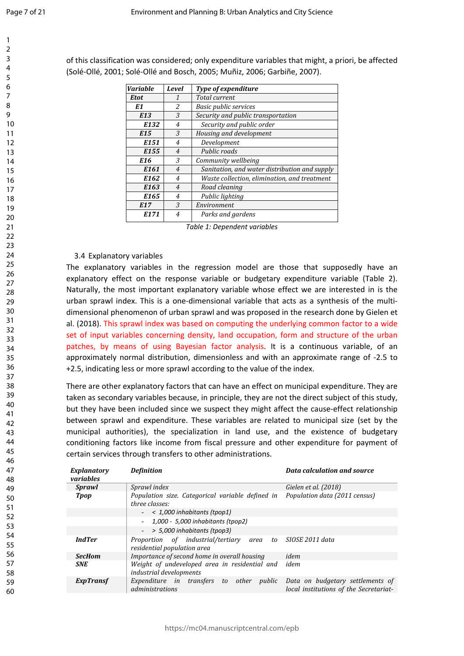| 2                                         |  |
|-------------------------------------------|--|
| 3                                         |  |
|                                           |  |
| 4                                         |  |
| 5                                         |  |
|                                           |  |
| 6                                         |  |
|                                           |  |
|                                           |  |
| 8                                         |  |
| 9                                         |  |
|                                           |  |
| 10                                        |  |
| $\mathbf{1}$<br>1                         |  |
|                                           |  |
| $\mathbf{1}$<br>$\overline{2}$            |  |
| 13                                        |  |
|                                           |  |
| 14                                        |  |
| 15                                        |  |
|                                           |  |
| 16                                        |  |
| 17                                        |  |
|                                           |  |
| 18                                        |  |
| 19                                        |  |
| 20                                        |  |
|                                           |  |
| $\overline{21}$                           |  |
| $\overline{c}$<br>$\overline{2}$          |  |
|                                           |  |
| 23                                        |  |
| $\overline{24}$                           |  |
|                                           |  |
| 25                                        |  |
| 26                                        |  |
|                                           |  |
| $^{27}$                                   |  |
| 28                                        |  |
|                                           |  |
| 29                                        |  |
| 30                                        |  |
|                                           |  |
| $\overline{31}$                           |  |
| $\overline{\mathbf{3}}$<br>$\overline{2}$ |  |
| 33                                        |  |
|                                           |  |
| 34                                        |  |
| 35                                        |  |
|                                           |  |
| 36                                        |  |
| 37                                        |  |
|                                           |  |
| 38                                        |  |
| 39                                        |  |
|                                           |  |
| 40                                        |  |
| 41                                        |  |
|                                           |  |
| 4.<br>2                                   |  |
| 4.<br>ξ                                   |  |
|                                           |  |
| 44                                        |  |
| 45                                        |  |
|                                           |  |
| 46                                        |  |
| $\overline{4}$                            |  |
| 48                                        |  |
|                                           |  |
| 49                                        |  |
| 50                                        |  |
|                                           |  |
| 51                                        |  |
| 5.<br>$\overline{c}$                      |  |
|                                           |  |
| 5.<br>ξ                                   |  |
| 54                                        |  |
|                                           |  |
| C<br>55                                   |  |
| c<br>$\overline{6}$                       |  |
|                                           |  |
| c<br>57                                   |  |
| 58                                        |  |
|                                           |  |
| 59<br>€                                   |  |

60

of this classification was considered; only expenditure variables that might, a priori, be affected (Solé-Ollé, 2001; Solé-Ollé and Bosch, 2005; Muñiz, 2006; Garbiñe, 2007).

| <b>Variable</b>  | Level          | <b>Type of expenditure</b>                    |
|------------------|----------------|-----------------------------------------------|
| Etot             | 1              | Total current                                 |
| E1               | $\overline{c}$ | Basic public services                         |
| E <sub>13</sub>  | 3              | Security and public transportation            |
| E132             | 4              | Security and public order                     |
| E <sub>15</sub>  | 3              | Housing and development                       |
| E <sub>151</sub> | 4              | Development                                   |
| E <sub>155</sub> | 4              | Public roads                                  |
| E16              | 3              | Community wellbeing                           |
| E <sub>161</sub> | 4              | Sanitation, and water distribution and supply |
| E162             | 4              | Waste collection, elimination, and treatment  |
| E <sub>163</sub> | 4              | Road cleaning                                 |
| E <sub>165</sub> | 4              | Public lighting                               |
| <b>E17</b>       | 3              | Environment                                   |
| F171             | 4              | Parks and gardens                             |

*Table 1: Dependent variables*

## 3.4 Explanatory variables

The explanatory variables in the regression model are those that supposedly have an explanatory effect on the response variable or budgetary expenditure variable (Table 2). Naturally, the most important explanatory variable whose effect we are interested in is the urban sprawl index. This is a one-dimensional variable that acts as a synthesis of the multidimensional phenomenon of urban sprawl and was proposed in the research done by Gielen et al. (2018). This sprawl index was based on computing the underlying common factor to a wide set of input variables concerning density, land occupation, form and structure of the urban patches, by means of using Bayesian factor analysis. It is a continuous variable, of an approximately normal distribution, dimensionless and with an approximate range of -2.5 to +2.5, indicating less or more sprawl according to the value of the index.

There are other explanatory factors that can have an effect on municipal expenditure. They are taken as secondary variables because, in principle, they are not the direct subject of this study, but they have been included since we suspect they might affect the cause-effect relationship between sprawl and expenditure. These variables are related to municipal size (set by the municipal authorities), the specialization in land use, and the existence of budgetary conditioning factors like income from fiscal pressure and other expenditure for payment of certain services through transfers to other administrations.

| Explanatory<br>variables | <b>Definition</b>                                                               | Data calculation and source                                                |
|--------------------------|---------------------------------------------------------------------------------|----------------------------------------------------------------------------|
| <i>Sprawl</i>            | Sprawl index                                                                    | Gielen et al. (2018)                                                       |
| Tpop                     | Population size. Categorical variable defined in<br>three classes:              | Population data (2011 census)                                              |
|                          | $-$ < 1,000 inhabitants (tpop1)                                                 |                                                                            |
|                          | 1,000 - 5,000 inhabitants (tpop2)<br>$\overline{\phantom{0}}$                   |                                                                            |
|                          | $-$ > 5,000 inhabitants (tpop3)                                                 |                                                                            |
| <b>IndTer</b>            | Proportion of industrial/tertiary<br>area<br>to<br>residential population area  | SIOSE 2011 data                                                            |
| <b>SecHom</b>            | Importance of second home in overall housing                                    | idem                                                                       |
| <b>SNE</b>               | Weight of undeveloped area in residential and<br><i>industrial developments</i> | idem                                                                       |
| <b>ExpTransf</b>         | Expenditure in transfers<br>public<br>other<br>to<br>administrations            | Data on budgetary settlements of<br>local institutions of the Secretariat- |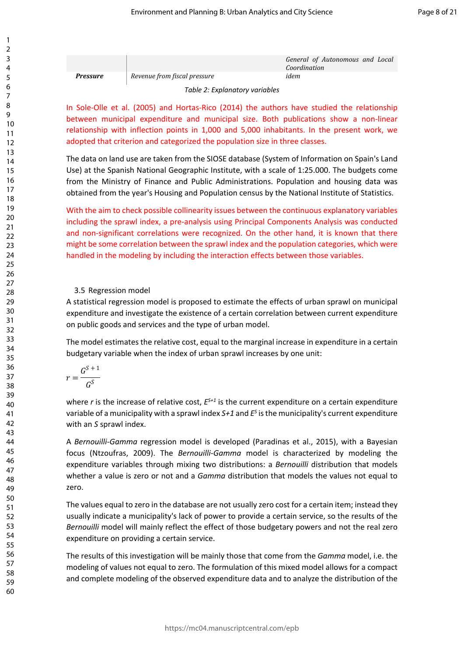| 2                            |  |
|------------------------------|--|
| 3                            |  |
| 4                            |  |
| 5                            |  |
|                              |  |
| 6                            |  |
|                              |  |
| 8                            |  |
| 9                            |  |
| 10                           |  |
| 11                           |  |
| $\overline{12}$              |  |
|                              |  |
| 13                           |  |
| $\overline{14}$              |  |
| 15                           |  |
|                              |  |
| 16<br>17                     |  |
| 18                           |  |
| 19                           |  |
|                              |  |
| 20                           |  |
| $\overline{21}$              |  |
| .<br>22                      |  |
| .<br>23                      |  |
| 24                           |  |
| 25                           |  |
| 26                           |  |
|                              |  |
| 27                           |  |
| 28                           |  |
| 29                           |  |
| 30                           |  |
| 31                           |  |
| 32                           |  |
| 33                           |  |
| 34                           |  |
|                              |  |
| 35                           |  |
| $\overline{\text{}}\text{6}$ |  |
| 37                           |  |
| 38                           |  |
| 39                           |  |
| 40                           |  |
|                              |  |
| 41                           |  |
| 42                           |  |
| 43                           |  |
| 44                           |  |
| 45                           |  |
| 46                           |  |
| 47                           |  |
|                              |  |
| 48                           |  |
| 49                           |  |
| 50                           |  |
| 51                           |  |
| 52                           |  |
| 53                           |  |
| 54                           |  |
|                              |  |
| 55                           |  |
| 56                           |  |
| 57                           |  |

1

|                 |                              | General of Autonomous and Local<br>Coordination |
|-----------------|------------------------------|-------------------------------------------------|
| <b>Pressure</b> | Revenue from fiscal pressure | idem                                            |

*Table 2: Explanatory variables*

In Sole-Olle et al. (2005) and Hortas-Rico (2014) the authors have studied the relationship between municipal expenditure and municipal size. Both publications show a non-linear relationship with inflection points in 1,000 and 5,000 inhabitants. In the present work, we adopted that criterion and categorized the population size in three classes.

The data on land use are taken from the SIOSE database (System of Information on Spain's Land Use) at the Spanish National Geographic Institute, with a scale of 1:25.000. The budgets come from the Ministry of Finance and Public Administrations. Population and housing data was obtained from the year's Housing and Population census by the National Institute of Statistics.

With the aim to check possible collinearity issues between the continuous explanatory variables including the sprawl index, a pre-analysis using Principal Components Analysis was conducted and non-significant correlations were recognized. On the other hand, it is known that there might be some correlation between the sprawl index and the population categories, which were handled in the modeling by including the interaction effects between those variables.

## 3.5 Regression model

A statistical regression model is proposed to estimate the effects of urban sprawl on municipal expenditure and investigate the existence of a certain correlation between current expenditure on public goods and services and the type of urban model.

The model estimates the relative cost, equal to the marginal increase in expenditure in a certain budgetary variable when the index of urban sprawl increases by one unit:

$$
r = \frac{G^{S+1}}{G^S}
$$

where *r* is the increase of relative cost,  $E^{s+1}$  is the current expenditure on a certain expenditure variable of a municipality with a sprawl index S+1 and E<sup>s</sup> is the municipality's current expenditure with an *S* sprawl index.

A *Bernouilli-Gamma* regression model is developed (Paradinas et al., 2015), with a Bayesian focus (Ntzoufras, 2009). The *Bernouilli*-*Gamma* model is characterized by modeling the expenditure variables through mixing two distributions: a *Bernouilli* distribution that models whether a value is zero or not and a *Gamma* distribution that models the values not equal to zero.

The values equal to zero in the database are not usually zero cost for a certain item; instead they usually indicate a municipality's lack of power to provide a certain service, so the results of the *Bernouilli* model will mainly reflect the effect of those budgetary powers and not the real zero expenditure on providing a certain service.

The results of this investigation will be mainly those that come from the *Gamma* model, i.e. the modeling of values not equal to zero. The formulation of this mixed model allows for a compact and complete modeling of the observed expenditure data and to analyze the distribution of the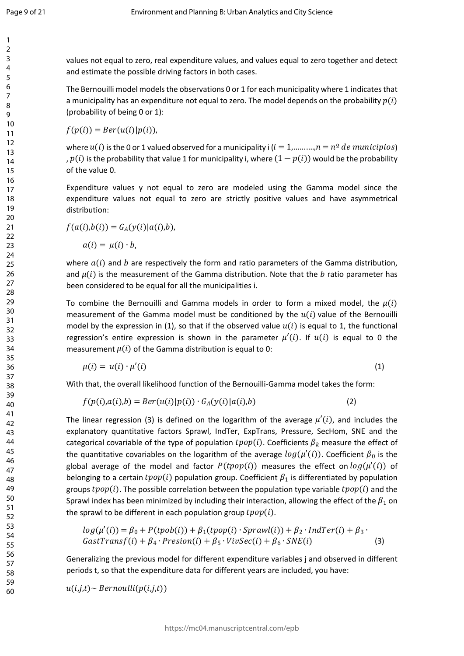values not equal to zero, real expenditure values, and values equal to zero together and detect and estimate the possible driving factors in both cases.

The Bernouilli model models the observations 0 or 1 for each municipality where 1 indicates that a municipality has an expenditure not equal to zero. The model depends on the probability  $p(i)$ (probability of being 0 or 1):

 $f(p(i)) = Ber(u(i)|p(i)),$ 

where  $u(i)$  is the 0 or 1 valued observed for a municipality i ( $i = 1, \ldots, n = n^{\circ}$  de municipios) ,  $p(i)$  is the probability that value 1 for municipality i, where  $(1 - p(i))$  would be the probability of the value 0.

Expenditure values y not equal to zero are modeled using the Gamma model since the expenditure values not equal to zero are strictly positive values and have asymmetrical distribution:

$$
f(a(i),b(i)) = GA(y(i)|a(i),b),
$$

 $a(i) = \mu(i) \cdot b$ ,

where  $a(i)$  and b are respectively the form and ratio parameters of the Gamma distribution, and  $\mu(i)$  is the measurement of the Gamma distribution. Note that the b ratio parameter has been considered to be equal for all the municipalities i.

To combine the Bernouilli and Gamma models in order to form a mixed model, the  $\mu(i)$ measurement of the Gamma model must be conditioned by the  $u(i)$  value of the Bernouilli model by the expression in (1), so that if the observed value  $u(i)$  is equal to 1, the functional regression's entire expression is shown in the parameter  $\mu'(i)$ . If  $u(i)$  is equal to 0 the measurement  $\mu(i)$  of the Gamma distribution is equal to 0:

$$
\mu(i) = u(i) \cdot \mu'(i) \tag{1}
$$

With that, the overall likelihood function of the Bernouilli-Gamma model takes the form:

$$
f(p(i),a(i),b) = Ber(u(i)|p(i)) \cdot G_A(y(i)|a(i),b)
$$
 (2)

The linear regression (3) is defined on the logarithm of the average  $\mu'(i)$ , and includes the explanatory quantitative factors Sprawl, IndTer, ExpTrans, Pressure, SecHom, SNE and the categorical covariable of the type of population  $tpop(i)$ . Coefficients  $\beta_k$  measure the effect of the quantitative covariables on the logarithm of the average  $log(\mu'(i))$ . Coefficient  $\beta_0$  is the global average of the model and factor  $P(tpop(i))$  measures the effect on  $log(\mu'(i))$  of belonging to a certain tpop(i) population group. Coefficient  $\beta_1$  is differentiated by population groups  $tpop(i)$ . The possible correlation between the population type variable  $tpop(i)$  and the Sprawl index has been minimized by including their interaction, allowing the effect of the  $\beta_1$  on the sprawl to be different in each population group  $tpop(i)$ .

$$
log(\mu'(i)) = \beta_0 + P(tpob(i)) + \beta_1(tpop(i) \cdot Sprawl(i)) + \beta_2 \cdot IndTer(i) + \beta_3 \cdot
$$
  
GastTransf(i) + \beta\_4 \cdot Presion(i) + \beta\_5 \cdot VivSec(i) + \beta\_6 \cdot SNE(i) (3)

Generalizing the previous model for different expenditure variables j and observed in different periods t, so that the expenditure data for different years are included, you have:

 $u(i,j,t)$ ~ Bernoulli $(p(i,j,t))$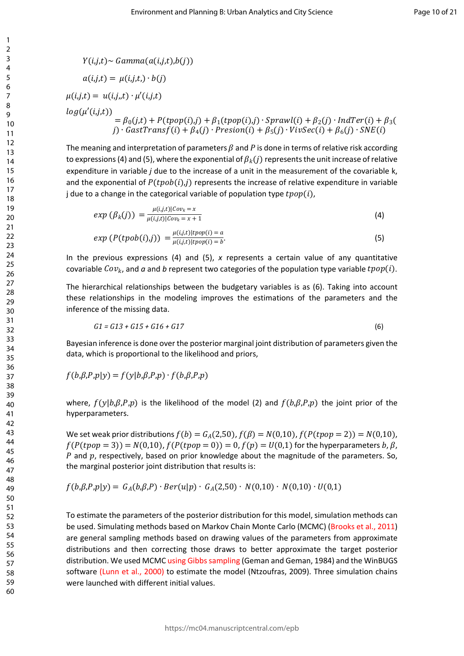$$
Y(i,j,t) \sim Gamma(a(i,j,t),b(j))
$$
  
\n
$$
a(i,j,t) = \mu(i,j,t) \cdot b(j)
$$
  
\n
$$
\mu(i,j,t) = u(i,j,t) \cdot \mu'(i,j,t)
$$
  
\n
$$
log(\mu'(i,j,t)) = \beta_0(j,t) + P(tpop(i),j) + \beta_1(tpop(i),j) \cdot Sprawl(i) + \beta_2(j) \cdot IndTer(i) + \beta_3(j) \cdot GasTransf(i) + \beta_4(j) \cdot Presion(i) + \beta_5(j) \cdot VivSec(i) + \beta_6(j) \cdot SNE(i)
$$

The meaning and interpretation of parameters  $\beta$  and P is done in terms of relative risk according to expressions (4) and (5), where the exponential of  $\beta_k(i)$  represents the unit increase of relative expenditure in variable *j* due to the increase of a unit in the measurement of the covariable k, and the exponential of  $P(tpob(i),j)$  represents the increase of relative expenditure in variable j due to a change in the categorical variable of population type  $tpop(i)$ ,

$$
\exp\left(\beta_k(j)\right) = \frac{\mu(i,j,t)|\text{Cov}_k = x}{\mu(i,j,t)|\text{Cov}_k = x + 1} \tag{4}
$$

$$
\exp\left(P(tpob(i),j)\right) = \frac{\mu(i,j,t)|\text{tpop}(i) = a}{\mu(i,j,t)|\text{tpop}(i) = b}.\tag{5}
$$

In the previous expressions (4) and (5), *x* represents a certain value of any quantitative covariable  $Cov_k$ , and  $a$  and  $b$  represent two categories of the population type variable  $tpop(i)$ .

The hierarchical relationships between the budgetary variables is as (6). Taking into account these relationships in the modeling improves the estimations of the parameters and the inference of the missing data.

$$
G1 = G13 + G15 + G16 + G17 \tag{6}
$$

Bayesian inference is done over the posterior marginal joint distribution of parameters given the data, which is proportional to the likelihood and priors,

$$
f(b,\beta,P,p|y) = f(y|b,\beta,P,p) \cdot f(b,\beta,P,p)
$$

where,  $f(y|b,\beta,P,p)$  is the likelihood of the model (2) and  $f(b,\beta,P,p)$  the joint prior of the hyperparameters.

We set weak prior distributions  $f(b) = G_A(2,50)$ ,  $f(\beta) = N(0,10)$ ,  $f(P(tpop = 2)) = N(0,10)$ ,  $f(P(tpop = 3)) = N(0,10)$ ,  $f(P(tpop = 0)) = 0$ ,  $f(p) = U(0,1)$  for the hyperparameters b,  $\beta$ , P and p, respectively, based on prior knowledge about the magnitude of the parameters. So, the marginal posterior joint distribution that results is:

$$
f(b,\beta,P,p|y) = G_A(b,\beta,P) \cdot Ber(u|p) \cdot G_A(2,50) \cdot N(0,10) \cdot N(0,10) \cdot U(0,1)
$$

To estimate the parameters of the posterior distribution for this model, simulation methods can be used. Simulating methods based on Markov Chain Monte Carlo (MCMC) (Brooks et al., 2011) are general sampling methods based on drawing values of the parameters from approximate distributions and then correcting those draws to better approximate the target posterior distribution. We used MCMC using Gibbs sampling (Geman and Geman, 1984) and the WinBUGS software (Lunn et al., 2000) to estimate the model (Ntzoufras, 2009). Three simulation chains were launched with different initial values.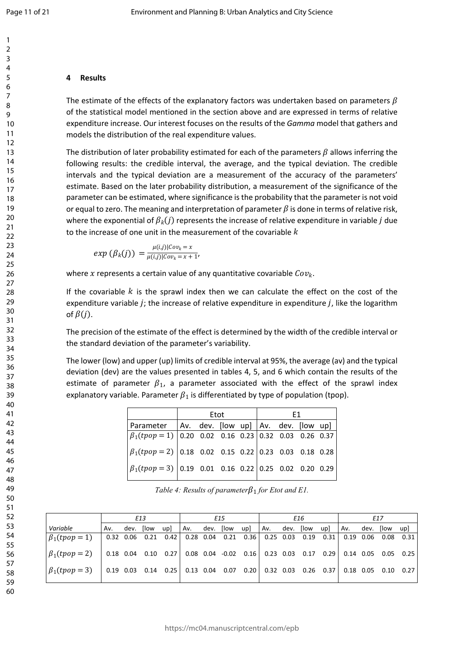### **4 Results**

The estimate of the effects of the explanatory factors was undertaken based on parameters  $\beta$ of the statistical model mentioned in the section above and are expressed in terms of relative expenditure increase. Our interest focuses on the results of the *Gamma* model that gathers and models the distribution of the real expenditure values.

The distribution of later probability estimated for each of the parameters  $\beta$  allows inferring the following results: the credible interval, the average, and the typical deviation. The credible intervals and the typical deviation are a measurement of the accuracy of the parameters' estimate. Based on the later probability distribution, a measurement of the significance of the parameter can be estimated, where significance is the probability that the parameter is not void or equal to zero. The meaning and interpretation of parameter  $\beta$  is done in terms of relative risk, where the exponential of  $\beta_k(j)$  represents the increase of relative expenditure in variable j due to the increase of one unit in the measurement of the covariable  $k$ 

$$
exp(\beta_k(j)) = \frac{\mu(i,j)|Cov_k = x}{\mu(i,j)|Cov_k = x + 1'}
$$

where x represents a certain value of any quantitative covariable  $Cov_{k}$ .

If the covariable  $k$  is the sprawl index then we can calculate the effect on the cost of the expenditure variable  $j$ ; the increase of relative expenditure in expenditure  $j$ , like the logarithm of  $\beta(j)$ .

The precision of the estimate of the effect is determined by the width of the credible interval or the standard deviation of the parameter's variability.

The lower (low) and upper (up) limits of credible interval at 95%, the average (av) and the typical deviation (dev) are the values presented in tables 4, 5, and 6 which contain the results of the estimate of parameter  $\beta_1$ , a parameter associated with the effect of the sprawl index explanatory variable. Parameter  $\beta_1$  is differentiated by type of population (tpop).

|                                                                          |  | Etot |  | F1 |  |
|--------------------------------------------------------------------------|--|------|--|----|--|
| Parameter   Av. dev. [low up]   Av. dev. [low up]                        |  |      |  |    |  |
| $\left \beta_1(tpop=1)\right $ 0.20 0.02 0.16 0.23 0.32 0.03 0.26 0.37   |  |      |  |    |  |
| $\left \beta_1(tpop=2)\right $ 0.18 0.02 0.15 0.22 0.23 0.03 0.18 0.28   |  |      |  |    |  |
| $\left  \beta_1(tpop=3) \right $ 0.19 0.01 0.16 0.22 0.25 0.02 0.20 0.29 |  |      |  |    |  |

*Table 4: Results of parameter* $\beta_1$  for *Etot and E1*.

|                                                                                                                         |     | E <sub>13</sub> |                                                                                 | E15 |  | E16 | F17               |  |  |  |
|-------------------------------------------------------------------------------------------------------------------------|-----|-----------------|---------------------------------------------------------------------------------|-----|--|-----|-------------------|--|--|--|
| Variable                                                                                                                | Av. | dev. [low up]   | $\vert$ Av. dev. $\vert$ low up $\vert$ $\vert$ Av. dev. $\vert$ low up $\vert$ |     |  |     | Av. dev. Ilow upl |  |  |  |
| $\left \beta_1(tpop=1)\right $   0.32 0.06 0.21 0.42   0.28 0.04 0.21 0.36   0.25 0.03 0.19 0.31   0.19 0.06 0.08 0.31  |     |                 |                                                                                 |     |  |     |                   |  |  |  |
| $\left \beta_1(tpop=2)\right $   0.18 0.04 0.10 0.27   0.08 0.04 -0.02 0.16   0.23 0.03 0.17 0.29   0.14 0.05 0.05 0.25 |     |                 |                                                                                 |     |  |     |                   |  |  |  |
| $\beta_1(tpop=3)$                                                                                                       |     |                 |                                                                                 |     |  |     |                   |  |  |  |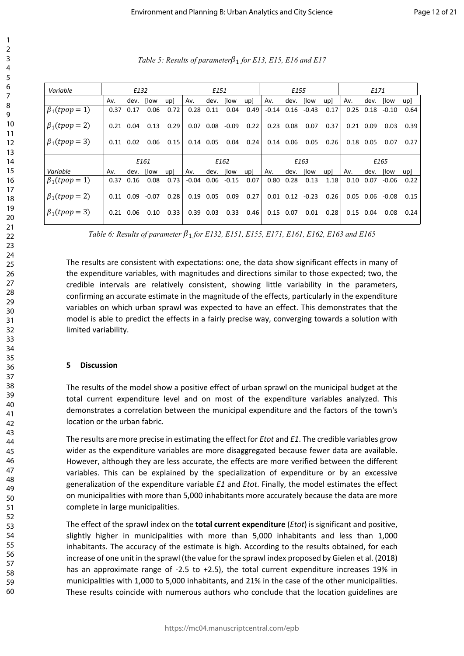| Variable          |      | E132              |           |        | E151        |             |               |          | E <sub>155</sub> |             |                       |      | E171 |             |                       |      |
|-------------------|------|-------------------|-----------|--------|-------------|-------------|---------------|----------|------------------|-------------|-----------------------|------|------|-------------|-----------------------|------|
|                   | Av.  |                   | dev. [low | up     | Av.         |             | dev. [low     | up]      | Av.              |             | dev. [low             | up]  | Av.  |             | dev. [low             | up]  |
| $\beta_1(tpop=1)$ | 0.37 | 0.17              | 0.06      | 0.72   | 0.28        | 0.11        | 0.04          | 0.49     | $-0.14$          | 0.16        | $-0.43$               | 0.17 | 0.25 | 0.18        | $-0.10$               | 0.64 |
| $\beta_1(tpop=2)$ |      | $0.21$ 0.04       | 0.13      | 0.29   | 0.07        |             | $0.08 - 0.09$ | 0.22     |                  | $0.23$ 0.08 | 0.07                  | 0.37 |      | $0.21$ 0.09 | 0.03                  | 0.39 |
| $\beta_1(tpop=3)$ |      | $0.11$ $0.02$     | 0.06      | $0.15$ |             | $0.14$ 0.05 | 0.04          | $0.24$ l | 0.14 0.06        |             | 0.05                  | 0.26 |      | $0.18$ 0.05 | 0.07                  | 0.27 |
|                   | E161 |                   |           |        | E162        |             |               |          | E163             |             |                       |      | E165 |             |                       |      |
| Variable          | Av.  |                   | dev. [low | up     | Av.         |             | dev. [low     | up       | Av.              | dev.        | [low                  | up]  | Av.  | dev.        | [low                  | up]  |
| $\beta_1(tpop=1)$ | 0.37 | 0.16              | 0.08      | 0.73   | -0.04       | 0.06        | $-0.15$       | 0.07     | 0.80             | 0.28        | 0.13                  | 1.18 | 0.10 | 0.07        | -0.06                 | 0.22 |
| $\beta_1(tpop=2)$ |      | $0.11 \quad 0.09$ | $-0.07$   | 0.28   | 0.19        | 0.05        | 0.09          | 0.27     |                  |             | $0.01$ $0.12$ $-0.23$ | 0.26 |      |             | $0.05$ $0.06$ $-0.08$ | 0.15 |
| $\beta_1(tpop=3)$ |      | $0.21$ 0.06       | 0.10      | 0.33   | $0.39$ 0.03 |             | 0.33          | 0.46     |                  | $0.15$ 0.07 | 0.01                  | 0.28 |      | $0.15$ 0.04 | 0.08                  | 0.24 |

Table 5: Results of parameter $\beta_1$  for E13, E15, E16 and E17

*Table 6: Results of parameter*  $\beta_1$  *for E132, E151, E155, E171, E161, E162, E163 and E165* 

The results are consistent with expectations: one, the data show significant effects in many of the expenditure variables, with magnitudes and directions similar to those expected; two, the credible intervals are relatively consistent, showing little variability in the parameters, confirming an accurate estimate in the magnitude of the effects, particularly in the expenditure variables on which urban sprawl was expected to have an effect. This demonstrates that the model is able to predict the effects in a fairly precise way, converging towards a solution with limited variability.

## **5 Discussion**

The results of the model show a positive effect of urban sprawl on the municipal budget at the total current expenditure level and on most of the expenditure variables analyzed. This demonstrates a correlation between the municipal expenditure and the factors of the town's location or the urban fabric.

The results are more precise in estimating the effect for *Etot* and *E1*. The credible variables grow wider as the expenditure variables are more disaggregated because fewer data are available. However, although they are less accurate, the effects are more verified between the different variables. This can be explained by the specialization of expenditure or by an excessive generalization of the expenditure variable *E1* and *Etot*. Finally, the model estimates the effect on municipalities with more than 5,000 inhabitants more accurately because the data are more complete in large municipalities.

The effect of the sprawl index on the **total current expenditure** (*Etot*) is significant and positive, slightly higher in municipalities with more than 5,000 inhabitants and less than 1,000 inhabitants. The accuracy of the estimate is high. According to the results obtained, for each increase of one unit in the sprawl (the value for the sprawl index proposed by Gielen et al. (2018) has an approximate range of -2.5 to +2.5), the total current expenditure increases 19% in municipalities with 1,000 to 5,000 inhabitants, and 21% in the case of the other municipalities. These results coincide with numerous authors who conclude that the location guidelines are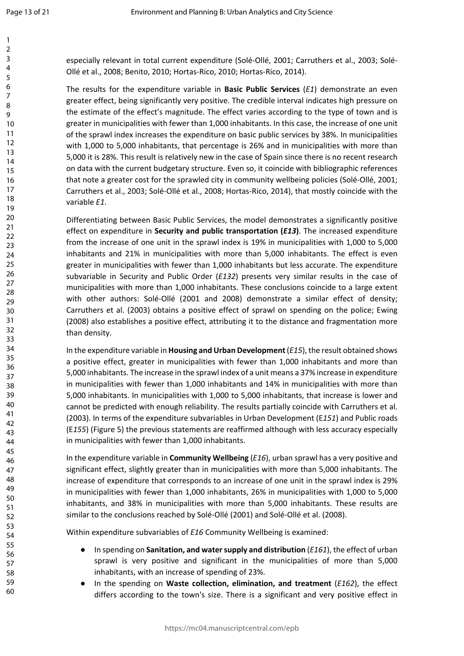especially relevant in total current expenditure (Solé-Ollé, 2001; Carruthers et al., 2003; Solé-Ollé et al., 2008; Benito, 2010; Hortas-Rico, 2010; Hortas-Rico, 2014).

The results for the expenditure variable in **Basic Public Services** (*E1*) demonstrate an even greater effect, being significantly very positive. The credible interval indicates high pressure on the estimate of the effect's magnitude. The effect varies according to the type of town and is greater in municipalities with fewer than 1,000 inhabitants. In this case, the increase of one unit of the sprawl index increases the expenditure on basic public services by 38%. In municipalities with 1,000 to 5,000 inhabitants, that percentage is 26% and in municipalities with more than 5,000 it is 28%. This result is relatively new in the case of Spain since there is no recent research on data with the current budgetary structure. Even so, it coincide with bibliographic references that note a greater cost for the sprawled city in community wellbeing policies (Solé-Ollé, 2001; Carruthers et al., 2003; Solé-Ollé et al., 2008; Hortas-Rico, 2014), that mostly coincide with the variable *E1*.

Differentiating between Basic Public Services, the model demonstrates a significantly positive effect on expenditure in **Security and public transportation (***E13***)**. The increased expenditure from the increase of one unit in the sprawl index is 19% in municipalities with 1,000 to 5,000 inhabitants and 21% in municipalities with more than 5,000 inhabitants. The effect is even greater in municipalities with fewer than 1,000 inhabitants but less accurate. The expenditure subvariable in Security and Public Order (*E132*) presents very similar results in the case of municipalities with more than 1,000 inhabitants. These conclusions coincide to a large extent with other authors: Solé-Ollé (2001 and 2008) demonstrate a similar effect of density; Carruthers et al. (2003) obtains a positive effect of sprawl on spending on the police; Ewing (2008) also establishes a positive effect, attributing it to the distance and fragmentation more than density.

In the expenditure variable in **Housing and Urban Development** (*E15*), the result obtained shows a positive effect, greater in municipalities with fewer than 1,000 inhabitants and more than 5,000 inhabitants. The increase in the sprawl index of a unit means a 37% increase in expenditure in municipalities with fewer than 1,000 inhabitants and 14% in municipalities with more than 5,000 inhabitants. In municipalities with 1,000 to 5,000 inhabitants, that increase is lower and cannot be predicted with enough reliability. The results partially coincide with Carruthers et al. (2003). In terms of the expenditure subvariables in Urban Development (E*151*) and Public roads (E*155*) (Figure 5) the previous statements are reaffirmed although with less accuracy especially in municipalities with fewer than 1,000 inhabitants.

In the expenditure variable in **Community Wellbeing** (*E16*), urban sprawl has a very positive and significant effect, slightly greater than in municipalities with more than 5,000 inhabitants. The increase of expenditure that corresponds to an increase of one unit in the sprawl index is 29% in municipalities with fewer than 1,000 inhabitants, 26% in municipalities with 1,000 to 5,000 inhabitants, and 38% in municipalities with more than 5,000 inhabitants. These results are similar to the conclusions reached by Solé-Ollé (2001) and Solé-Ollé et al. (2008).

Within expenditure subvariables of *E16* Community Wellbeing is examined:

- In spending on **Sanitation, and water supply and distribution** (*E161*), the effect of urban sprawl is very positive and significant in the municipalities of more than 5,000 inhabitants, with an increase of spending of 23%.
- In the spending on **Waste collection, elimination, and treatment** (*E162*), the effect differs according to the town's size. There is a significant and very positive effect in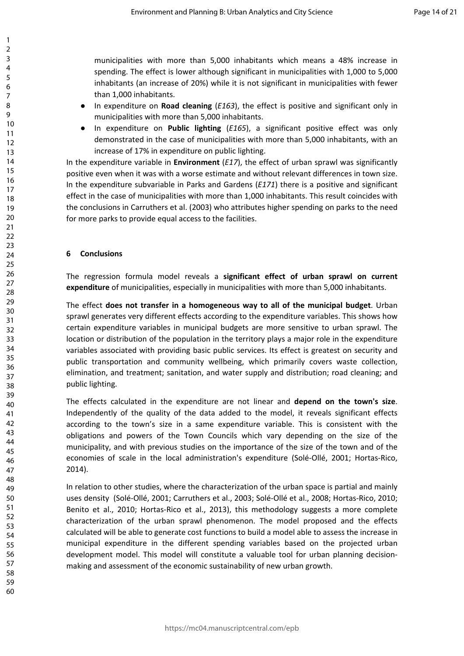municipalities with more than 5,000 inhabitants which means a 48% increase in spending. The effect is lower although significant in municipalities with 1,000 to 5,000 inhabitants (an increase of 20%) while it is not significant in municipalities with fewer than 1,000 inhabitants.

- In expenditure on **Road cleaning** (*E163*), the effect is positive and significant only in municipalities with more than 5,000 inhabitants.
- In expenditure on **Public lighting** (*E165*), a significant positive effect was only demonstrated in the case of municipalities with more than 5,000 inhabitants, with an increase of 17% in expenditure on public lighting.

In the expenditure variable in **Environment** (*E17*), the effect of urban sprawl was significantly positive even when it was with a worse estimate and without relevant differences in town size. In the expenditure subvariable in Parks and Gardens (*E171*) there is a positive and significant effect in the case of municipalities with more than 1,000 inhabitants. This result coincides with the conclusions in Carruthers et al. (2003) who attributes higher spending on parks to the need for more parks to provide equal access to the facilities.

### **6 Conclusions**

The regression formula model reveals a **significant effect of urban sprawl on current expenditure** of municipalities, especially in municipalities with more than 5,000 inhabitants.

The effect **does not transfer in a homogeneous way to all of the municipal budget**. Urban sprawl generates very different effects according to the expenditure variables. This shows how certain expenditure variables in municipal budgets are more sensitive to urban sprawl. The location or distribution of the population in the territory plays a major role in the expenditure variables associated with providing basic public services. Its effect is greatest on security and public transportation and community wellbeing, which primarily covers waste collection, elimination, and treatment; sanitation, and water supply and distribution; road cleaning; and public lighting.

The effects calculated in the expenditure are not linear and **depend on the town's size**. Independently of the quality of the data added to the model, it reveals significant effects according to the town's size in a same expenditure variable. This is consistent with the obligations and powers of the Town Councils which vary depending on the size of the municipality, and with previous studies on the importance of the size of the town and of the economies of scale in the local administration's expenditure (Solé-Ollé, 2001; Hortas-Rico, 2014).

In relation to other studies, where the characterization of the urban space is partial and mainly uses density (Solé-Ollé, 2001; Carruthers et al., 2003; Solé-Ollé et al., 2008; Hortas-Rico, 2010; Benito et al., 2010; Hortas-Rico et al., 2013), this methodology suggests a more complete characterization of the urban sprawl phenomenon. The model proposed and the effects calculated will be able to generate cost functions to build a model able to assess the increase in municipal expenditure in the different spending variables based on the projected urban development model. This model will constitute a valuable tool for urban planning decisionmaking and assessment of the economic sustainability of new urban growth.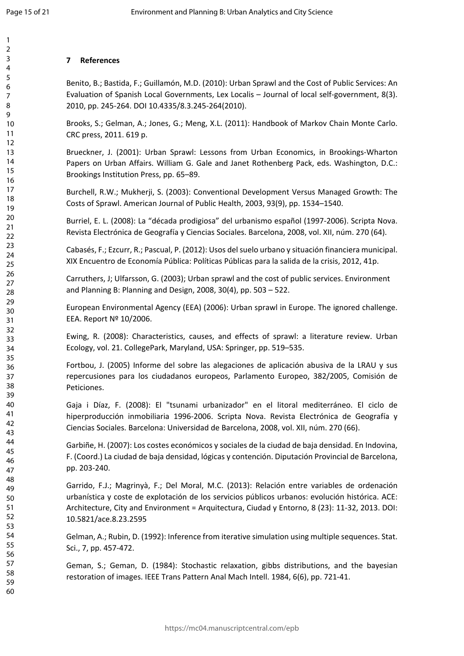### **7 References**

Benito, B.; Bastida, F.; Guillamón, M.D. (2010): Urban Sprawl and the Cost of Public Services: An Evaluation of Spanish Local Governments, Lex Localis – Journal of local self-government, 8(3). 2010, pp. 245-264. DOI 10.4335/8.3.245-264(2010).

Brooks, S.; Gelman, A.; Jones, G.; Meng, X.L. (2011): Handbook of Markov Chain Monte Carlo. CRC press, 2011. 619 p.

Brueckner, J. (2001): Urban Sprawl: Lessons from Urban Economics, in Brookings-Wharton Papers on Urban Affairs. William G. Gale and Janet Rothenberg Pack, eds. Washington, D.C.: Brookings Institution Press, pp. 65–89.

Burchell, R.W.; Mukherji, S. (2003): Conventional Development Versus Managed Growth: The Costs of Sprawl. American Journal of Public Health, 2003, 93(9), pp. 1534–1540.

Burriel, E. L. (2008): La "década prodigiosa" del urbanismo español (1997-2006). Scripta Nova. Revista Electrónica de Geografía y Ciencias Sociales. Barcelona, 2008, vol. XII, núm. 270 (64).

Cabasés, F.; Ezcurr, R.; Pascual, P. (2012): Usos del suelo urbano y situación financiera municipal. XIX Encuentro de Economía Pública: Políticas Públicas para la salida de la crisis, 2012, 41p.

Carruthers, J; Ulfarsson, G. (2003); Urban sprawl and the cost of public services. Environment and Planning B: Planning and Design, 2008, 30(4), pp. 503 – 522.

European Environmental Agency (EEA) (2006): Urban sprawl in Europe. The ignored challenge. EEA. Report Nº 10/2006.

Ewing, R. (2008): Characteristics, causes, and effects of sprawl: a literature review. Urban Ecology, vol. 21. CollegePark, Maryland, USA: Springer, pp. 519–535.

Fortbou, J. (2005) Informe del sobre las alegaciones de aplicación abusiva de la LRAU y sus repercusiones para los ciudadanos europeos, Parlamento Europeo, 382/2005, Comisión de Peticiones.

Gaja i Díaz, F. (2008): El "tsunami urbanizador" en el litoral mediterráneo. El ciclo de hiperproducción inmobiliaria 1996-2006. Scripta Nova. Revista Electrónica de Geografía y Ciencias Sociales. Barcelona: Universidad de Barcelona, 2008, vol. XII, núm. 270 (66).

Garbiñe, H. (2007): Los costes económicos y sociales de la ciudad de baja densidad. En Indovina, F. (Coord.) La ciudad de baja densidad, lógicas y contención. Diputación Provincial de Barcelona, pp. 203-240.

Garrido, F.J.; Magrinyà, F.; Del Moral, M.C. (2013): Relación entre variables de ordenación urbanística y coste de explotación de los servicios públicos urbanos: evolución histórica. ACE: Architecture, City and Environment = Arquitectura, Ciudad y Entorno, 8 (23): 11-32, 2013. DOI: 10.5821/ace.8.23.2595

Gelman, A.; Rubin, D. (1992): Inference from iterative simulation using multiple sequences. Stat. Sci., 7, pp. 457-472.

Geman, S.; Geman, D. (1984): Stochastic relaxation, gibbs distributions, and the bayesian restoration of images. IEEE Trans Pattern Anal Mach Intell. 1984, 6(6), pp. 721-41.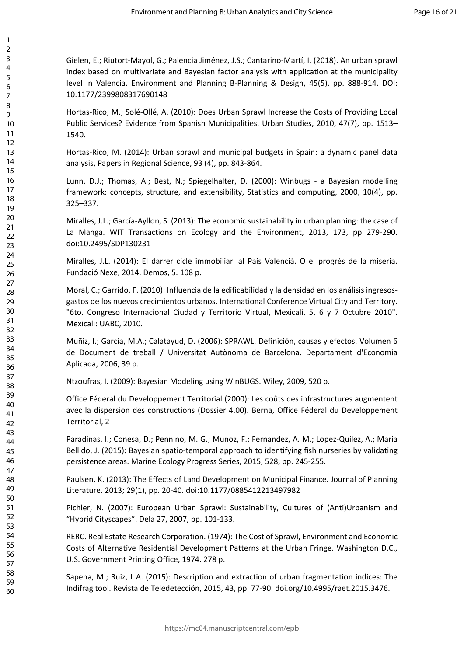Gielen, E.; Riutort-Mayol, G.; Palencia Jiménez, J.S.; Cantarino-Martí, I. (2018). An urban sprawl index based on multivariate and Bayesian factor analysis with application at the municipality level in Valencia. Environment and Planning B-Planning & Design, 45(5), pp. 888-914. DOI: 10.1177/2399808317690148

Hortas-Rico, M.; Solé-Ollé, A. (2010): Does Urban Sprawl Increase the Costs of Providing Local Public Services? Evidence from Spanish Municipalities. Urban Studies, 2010, 47(7), pp. 1513– 1540.

Hortas-Rico, M. (2014): Urban sprawl and municipal budgets in Spain: a dynamic panel data analysis, Papers in Regional Science, 93 (4), pp. 843-864.

Lunn, D.J.; Thomas, A.; Best, N.; Spiegelhalter, D. (2000): Winbugs - a Bayesian modelling framework: concepts, structure, and extensibility, Statistics and computing, 2000, 10(4), pp. 325–337.

Miralles, J.L.; García-Ayllon, S. (2013): The economic sustainability in urban planning: the case of La Manga. WIT Transactions on Ecology and the Environment, 2013, 173, pp 279-290. doi:10.2495/SDP130231

Miralles, J.L. (2014): El darrer cicle immobiliari al País Valencià. O el progrés de la misèria. Fundació Nexe, 2014. Demos, 5. 108 p.

Moral, C.; Garrido, F. (2010): Influencia de la edificabilidad y la densidad en los análisis ingresosgastos de los nuevos crecimientos urbanos. International Conference Virtual City and Territory. "6to. Congreso Internacional Ciudad y Territorio Virtual, Mexicali, 5, 6 y 7 Octubre 2010". Mexicali: UABC, 2010.

Muñiz, I.; García, M.A.; Calatayud, D. (2006): SPRAWL. Definición, causas y efectos. Volumen 6 de Document de treball / Universitat Autònoma de Barcelona. Departament d'Economia Aplicada, 2006, 39 p.

Ntzoufras, I. (2009): Bayesian Modeling using WinBUGS. Wiley, 2009, 520 p.

Office Féderal du Developpement Territorial (2000): Les coûts des infrastructures augmentent avec la dispersion des constructions (Dossier 4.00). Berna, Office Féderal du Developpement Territorial, 2

Paradinas, I.; Conesa, D.; Pennino, M. G.; Munoz, F.; Fernandez, A. M.; Lopez-Quilez, A.; Maria Bellido, J. (2015): Bayesian spatio-temporal approach to identifying fish nurseries by validating persistence areas. Marine Ecology Progress Series, 2015, 528, pp. 245-255.

Paulsen, K. (2013): The Effects of Land Development on Municipal Finance. Journal of Planning Literature. 2013; 29(1), pp. 20-40. doi:10.1177/0885412213497982

Pichler, N. (2007): European Urban Sprawl: Sustainability, Cultures of (Anti)Urbanism and "Hybrid Cityscapes". Dela 27, 2007, pp. 101-133.

RERC. Real Estate Research Corporation. (1974): The Cost of Sprawl, Environment and Economic Costs of Alternative Residential Development Patterns at the Urban Fringe. Washington D.C., U.S. Government Printing Office, 1974. 278 p.

Sapena, M.; Ruiz, L.A. (2015): Description and extraction of urban fragmentation indices: The Indifrag tool. Revista de Teledetección, 2015, 43, pp. 77-90. doi.org/10.4995/raet.2015.3476.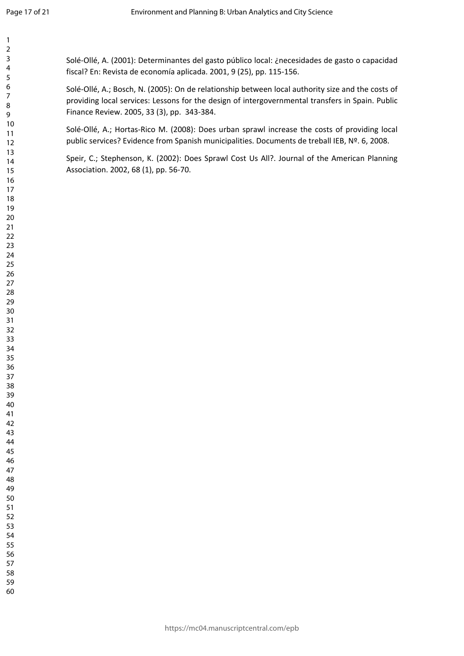Solé-Ollé, A. (2001): Determinantes del gasto público local: ¿necesidades de gasto o capacidad fiscal? En: Revista de economía aplicada. 2001, 9 (25), pp. 115-156.

Solé-Ollé, A.; Bosch, N. (2005): On de relationship between local authority size and the costs of providing local services: Lessons for the design of intergovernmental transfers in Spain. Public Finance Review. 2005, 33 (3), pp. 343-384.

Solé-Ollé, A.; Hortas-Rico M. (2008): Does urban sprawl increase the costs of providing local public services? Evidence from Spanish municipalities. Documents de treball IEB, Nº. 6, 2008.

Speir, C.; Stephenson, K. (2002): Does Sprawl Cost Us All?. Journal of the American Planning Association. 2002, 68 (1), pp. 56-70.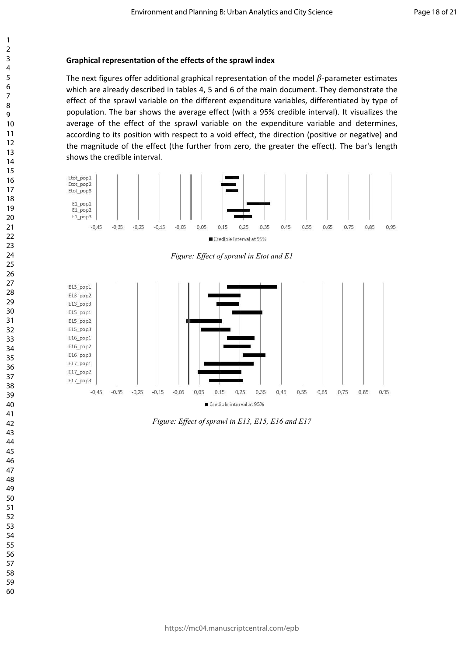### **Graphical representation of the effects of the sprawl index**

The next figures offer additional graphical representation of the model  $\beta$ -parameter estimates which are already described in tables 4, 5 and 6 of the main document. They demonstrate the effect of the sprawl variable on the different expenditure variables, differentiated by type of population. The bar shows the average effect (with a 95% credible interval). It visualizes the average of the effect of the sprawl variable on the expenditure variable and determines, according to its position with respect to a void effect, the direction (positive or negative) and the magnitude of the effect (the further from zero, the greater the effect). The bar's length shows the credible interval.



*Figure: Effect of sprawl in Etot and E1*



*Figure: Effect of sprawl in E13, E15, E16 and E17*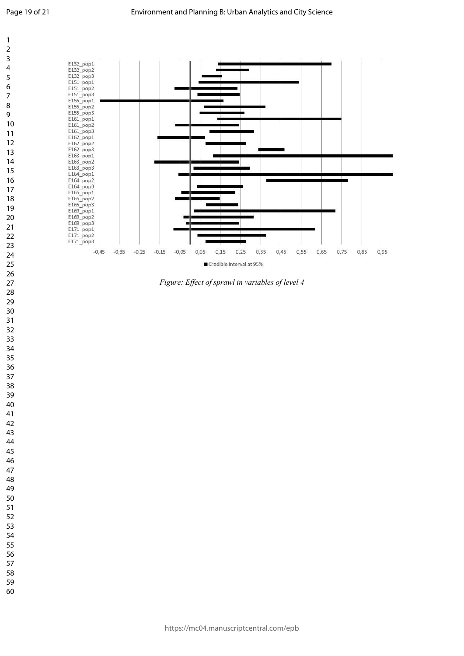

*Figure: Effect of sprawl in variables of level 4*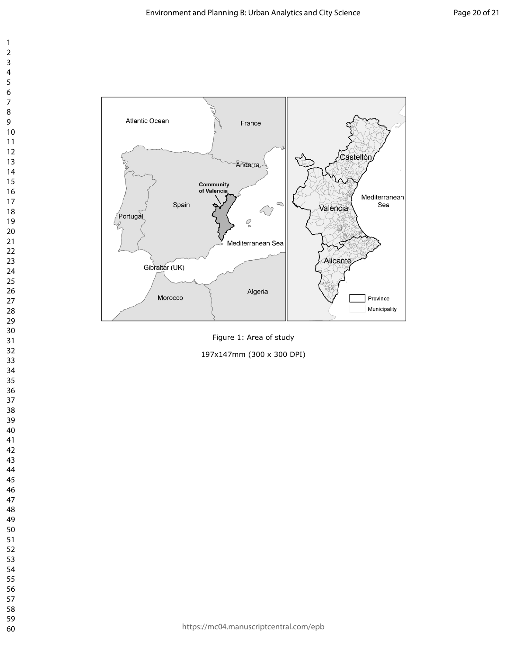

Figure 1: Area of study

197x147mm (300 x 300 DPI)